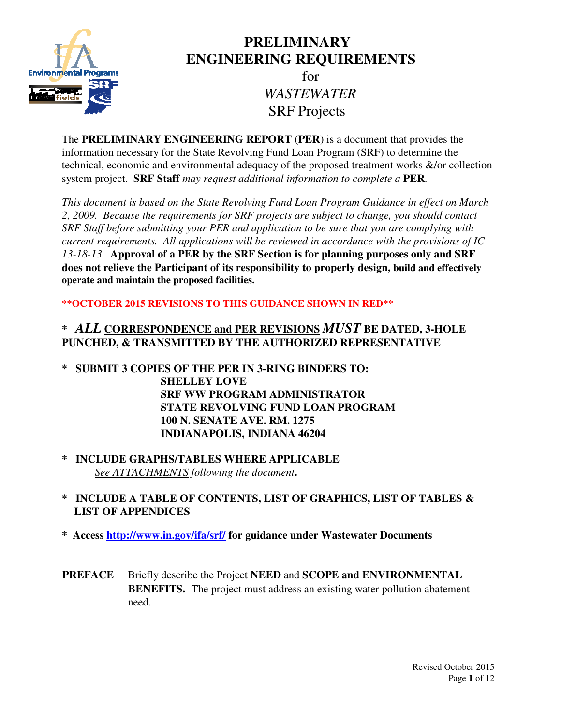

# **PRELIMINARY ENGINEERING REQUIREMENTS**

for *WASTEWATER*  SRF Projects

The **PRELIMINARY ENGINEERING REPORT** (**PER**) is a document that provides the information necessary for the State Revolving Fund Loan Program (SRF) to determine the technical, economic and environmental adequacy of the proposed treatment works &/or collection system project. **SRF Staff** *may request additional information to complete a* **PER***.* 

*This document is based on the State Revolving Fund Loan Program Guidance in effect on March 2, 2009. Because the requirements for SRF projects are subject to change, you should contact SRF Staff before submitting your PER and application to be sure that you are complying with current requirements. All applications will be reviewed in accordance with the provisions of IC 13-18-13.* **Approval of a PER by the SRF Section is for planning purposes only and SRF does not relieve the Participant of its responsibility to properly design, build and effectively operate and maintain the proposed facilities.** 

## **\*\*OCTOBER 2015 REVISIONS TO THIS GUIDANCE SHOWN IN RED\*\***

## **\*** *ALL* **CORRESPONDENCE and PER REVISIONS** *MUST* **BE DATED, 3-HOLE PUNCHED, & TRANSMITTED BY THE AUTHORIZED REPRESENTATIVE**

- **\* SUBMIT 3 COPIES OF THE PER IN 3-RING BINDERS TO: SHELLEY LOVE SRF WW PROGRAM ADMINISTRATOR STATE REVOLVING FUND LOAN PROGRAM 100 N. SENATE AVE. RM. 1275 INDIANAPOLIS, INDIANA 46204**
- **\* INCLUDE GRAPHS/TABLES WHERE APPLICABLE**  *See ATTACHMENTS following the document***.**
- **\* INCLUDE A TABLE OF CONTENTS, LIST OF GRAPHICS, LIST OF TABLES & LIST OF APPENDICES**
- **\* Access http://www.in.gov/ifa/srf/ for guidance under Wastewater Documents**
- **PREFACE** Briefly describe the Project **NEED** and **SCOPE and ENVIRONMENTAL BENEFITS.** The project must address an existing water pollution abatement need.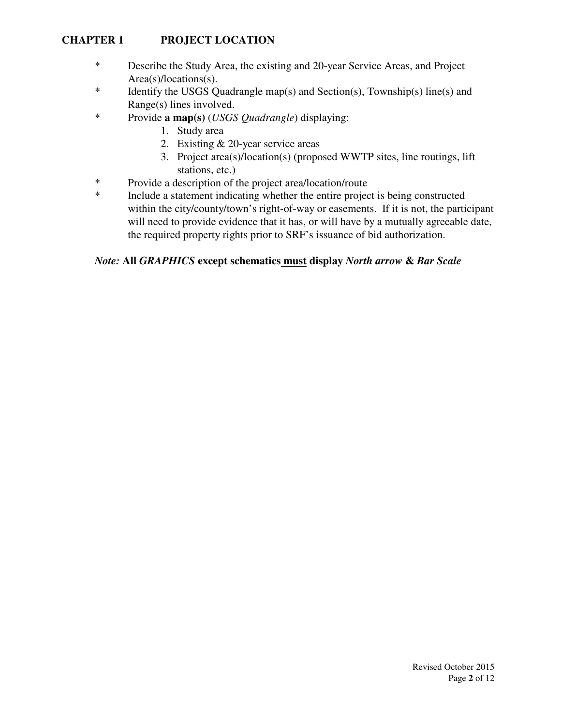## **CHAPTER 1 PROJECT LOCATION**

- \* Describe the Study Area, the existing and 20-year Service Areas, and Project Area(s)/locations(s).
- \* Identify the USGS Quadrangle map(s) and Section(s), Township(s) line(s) and Range(s) lines involved.
- \* Provide **a map(s)** (*USGS Quadrangle*) displaying:
	- 1. Study area
	- 2. Existing & 20-year service areas
	- 3. Project area(s)/location(s) (proposed WWTP sites, line routings, lift stations, etc.)
- \* Provide a description of the project area/location/route
- \* Include a statement indicating whether the entire project is being constructed within the city/county/town's right-of-way or easements. If it is not, the participant will need to provide evidence that it has, or will have by a mutually agreeable date, the required property rights prior to SRF's issuance of bid authorization.

#### *Note:* **All** *GRAPHICS* **except schematics must display** *North arrow* **&** *Bar Scale*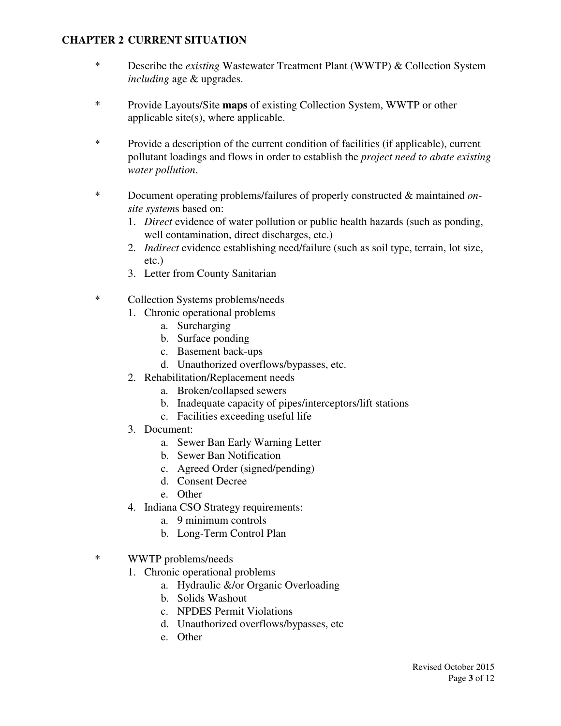#### **CHAPTER 2 CURRENT SITUATION**

- \* Describe the *existing* Wastewater Treatment Plant (WWTP) & Collection System *including* age & upgrades.
- \* Provide Layouts/Site **maps** of existing Collection System, WWTP or other applicable site(s), where applicable.
- \* Provide a description of the current condition of facilities (if applicable), current pollutant loadings and flows in order to establish the *project need to abate existing water pollution*.
- \* Document operating problems/failures of properly constructed & maintained *onsite system*s based on:
	- 1. *Direct* evidence of water pollution or public health hazards (such as ponding, well contamination, direct discharges, etc.)
	- 2. *Indirect* evidence establishing need/failure (such as soil type, terrain, lot size, etc.)
	- 3. Letter from County Sanitarian
- \* Collection Systems problems/needs
	- 1. Chronic operational problems
		- a. Surcharging
		- b. Surface ponding
		- c. Basement back-ups
		- d. Unauthorized overflows/bypasses, etc.
	- 2. Rehabilitation/Replacement needs
		- a. Broken/collapsed sewers
		- b. Inadequate capacity of pipes/interceptors/lift stations
		- c. Facilities exceeding useful life
	- 3. Document:
		- a. Sewer Ban Early Warning Letter
		- b. Sewer Ban Notification
		- c. Agreed Order (signed/pending)
		- d. Consent Decree
		- e. Other
	- 4. Indiana CSO Strategy requirements:
		- a. 9 minimum controls
		- b. Long-Term Control Plan
- \* WWTP problems/needs
	- 1. Chronic operational problems
		- a. Hydraulic &/or Organic Overloading
		- b. Solids Washout
		- c. NPDES Permit Violations
		- d. Unauthorized overflows/bypasses, etc
		- e. Other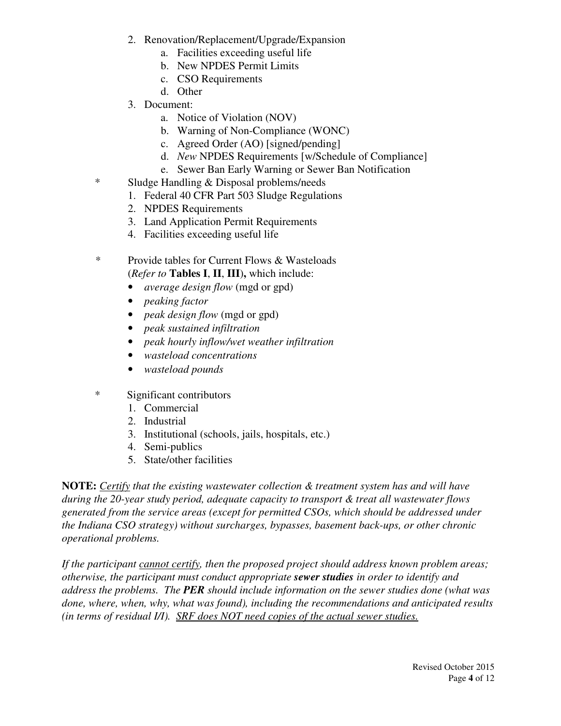- 2. Renovation/Replacement/Upgrade/Expansion
	- a. Facilities exceeding useful life
	- b. New NPDES Permit Limits
	- c. CSO Requirements
	- d. Other
- 3. Document:
	- a. Notice of Violation (NOV)
	- b. Warning of Non-Compliance (WONC)
	- c. Agreed Order (AO) [signed/pending]
	- d. *New* NPDES Requirements [w/Schedule of Compliance]
	- e. Sewer Ban Early Warning or Sewer Ban Notification
- \* Sludge Handling & Disposal problems/needs
	- 1. Federal 40 CFR Part 503 Sludge Regulations
	- 2. NPDES Requirements
	- 3. Land Application Permit Requirements
	- 4. Facilities exceeding useful life
- *\** Provide tables for Current Flows & Wasteloads (*Refer to* **Tables I**, **II**, **III**)**,** which include:
	- *average design flow* (mgd or gpd)
	- *peaking factor*
	- *peak design flow* (mgd or gpd)
	- *peak sustained infiltration*
	- *peak hourly inflow/wet weather infiltration*
	- *wasteload concentrations*
	- *wasteload pounds*
- \* Significant contributors
	- 1. Commercial
	- 2. Industrial
	- 3. Institutional (schools, jails, hospitals, etc.)
	- 4. Semi-publics
	- 5. State/other facilities

**NOTE:** *Certify that the existing wastewater collection & treatment system has and will have during the 20-year study period, adequate capacity to transport & treat all wastewater flows generated from the service areas (except for permitted CSOs, which should be addressed under the Indiana CSO strategy) without surcharges, bypasses, basement back-ups, or other chronic operational problems.* 

*If the participant cannot certify, then the proposed project should address known problem areas; otherwise, the participant must conduct appropriate sewer studies in order to identify and address the problems. The PER should include information on the sewer studies done (what was done, where, when, why, what was found), including the recommendations and anticipated results (in terms of residual I/I). SRF does NOT need copies of the actual sewer studies.*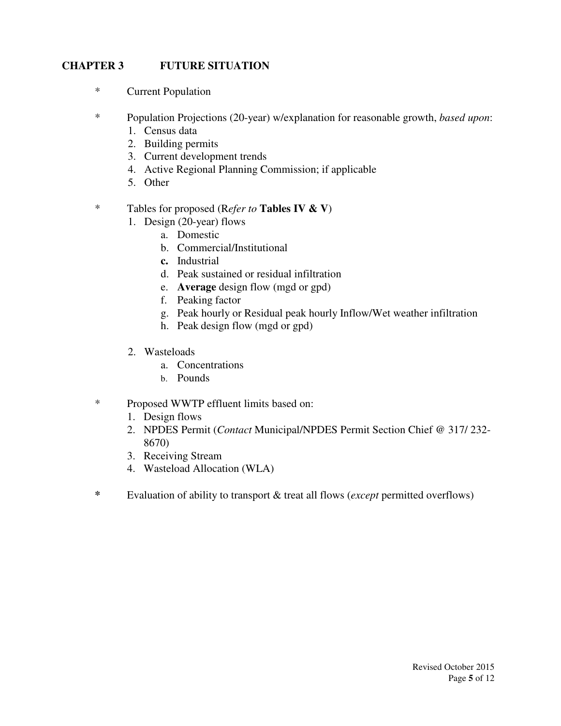#### **CHAPTER 3 FUTURE SITUATION**

- \* Current Population
- \* Population Projections (20-year) w/explanation for reasonable growth, *based upon*:
	- 1. Census data
	- 2. Building permits
	- 3. Current development trends
	- 4. Active Regional Planning Commission; if applicable
	- 5. Other
- \* Tables for proposed (R*efer to* **Tables IV & V**)
	- 1. Design (20-year) flows
		- a. Domestic
			- b. Commercial/Institutional
			- **c.** Industrial
			- d. Peak sustained or residual infiltration
			- e. **Average** design flow (mgd or gpd)
			- f. Peaking factor
			- g. Peak hourly or Residual peak hourly Inflow/Wet weather infiltration
			- h. Peak design flow (mgd or gpd)
	- 2. Wasteloads
		- a. Concentrations
		- b. Pounds
- \* Proposed WWTP effluent limits based on:
	- 1. Design flows
	- 2. NPDES Permit (*Contact* Municipal/NPDES Permit Section Chief @ 317/ 232- 8670)
	- 3. Receiving Stream
	- 4. Wasteload Allocation (WLA)
- **\*** Evaluation of ability to transport & treat all flows (*except* permitted overflows)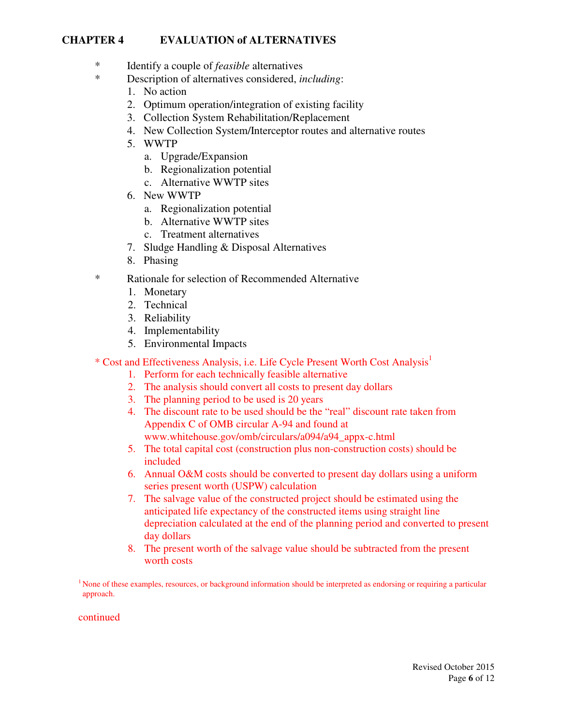#### **CHAPTER 4 EVALUATION of ALTERNATIVES**

- \* Identify a couple of *feasible* alternatives
- \* Description of alternatives considered, *including*:
	- 1. No action
	- 2. Optimum operation/integration of existing facility
	- 3. Collection System Rehabilitation/Replacement
	- 4. New Collection System/Interceptor routes and alternative routes
	- 5. WWTP
		- a. Upgrade/Expansion
		- b. Regionalization potential
		- c. Alternative WWTP sites
	- 6. New WWTP
		- a. Regionalization potential
		- b. Alternative WWTP sites
		- c. Treatment alternatives
	- 7. Sludge Handling & Disposal Alternatives
	- 8. Phasing
- \* Rationale for selection of Recommended Alternative
	- 1. Monetary
	- 2. Technical
	- 3. Reliability
	- 4. Implementability
	- 5. Environmental Impacts

\* Cost and Effectiveness Analysis, i.e. Life Cycle Present Worth Cost Analysis<sup>1</sup>

- 1. Perform for each technically feasible alternative
- 2. The analysis should convert all costs to present day dollars
- 3. The planning period to be used is 20 years
- 4. The discount rate to be used should be the "real" discount rate taken from Appendix C of OMB circular A-94 and found at www.whitehouse.gov/omb/circulars/a094/a94\_appx-c.html
- 5. The total capital cost (construction plus non-construction costs) should be included
- 6. Annual O&M costs should be converted to present day dollars using a uniform series present worth (USPW) calculation
- 7. The salvage value of the constructed project should be estimated using the anticipated life expectancy of the constructed items using straight line depreciation calculated at the end of the planning period and converted to present day dollars
- 8. The present worth of the salvage value should be subtracted from the present worth costs

 $<sup>1</sup>$  None of these examples, resources, or background information should be interpreted as endorsing or requiring a particular</sup> approach.

continued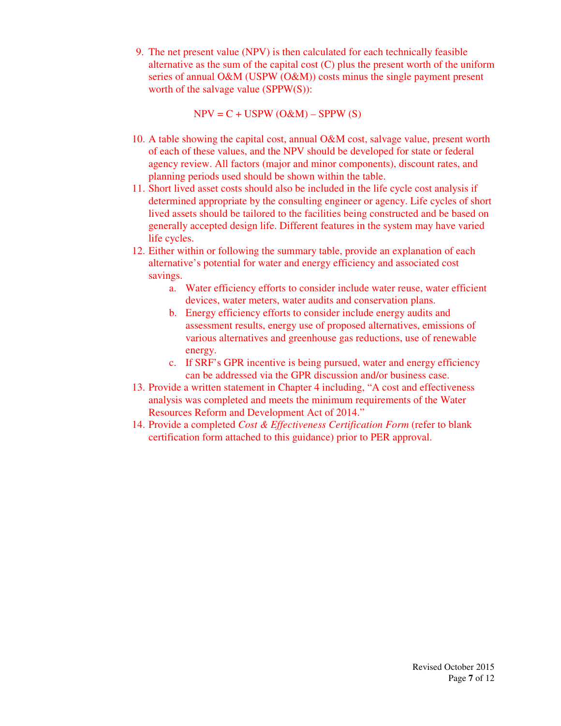9. The net present value (NPV) is then calculated for each technically feasible alternative as the sum of the capital cost  $(C)$  plus the present worth of the uniform series of annual O&M (USPW (O&M)) costs minus the single payment present worth of the salvage value (SPPW(S)):

 $NPV = C + USPW (O\&M) - SPPW (S)$ 

- 10. A table showing the capital cost, annual O&M cost, salvage value, present worth of each of these values, and the NPV should be developed for state or federal agency review. All factors (major and minor components), discount rates, and planning periods used should be shown within the table.
- 11. Short lived asset costs should also be included in the life cycle cost analysis if determined appropriate by the consulting engineer or agency. Life cycles of short lived assets should be tailored to the facilities being constructed and be based on generally accepted design life. Different features in the system may have varied life cycles.
- 12. Either within or following the summary table, provide an explanation of each alternative's potential for water and energy efficiency and associated cost savings.
	- a. Water efficiency efforts to consider include water reuse, water efficient devices, water meters, water audits and conservation plans.
	- b. Energy efficiency efforts to consider include energy audits and assessment results, energy use of proposed alternatives, emissions of various alternatives and greenhouse gas reductions, use of renewable energy.
	- c. If SRF's GPR incentive is being pursued, water and energy efficiency can be addressed via the GPR discussion and/or business case.
- 13. Provide a written statement in Chapter 4 including, "A cost and effectiveness analysis was completed and meets the minimum requirements of the Water Resources Reform and Development Act of 2014."
- 14. Provide a completed *Cost & Effectiveness Certification Form* (refer to blank certification form attached to this guidance) prior to PER approval.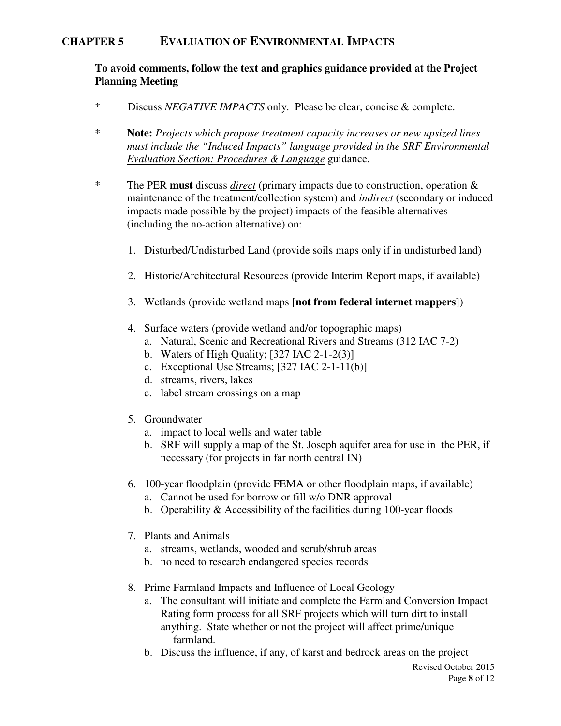#### **CHAPTER 5 EVALUATION OF ENVIRONMENTAL IMPACTS**

#### **To avoid comments, follow the text and graphics guidance provided at the Project Planning Meeting**

- \* Discuss *NEGATIVE IMPACTS* only. Please be clear, concise & complete.
- \* **Note:** *Projects which propose treatment capacity increases or new upsized lines must include the "Induced Impacts" language provided in the SRF Environmental Evaluation Section: Procedures & Language* guidance.
- \* The PER **must** discuss *direct* (primary impacts due to construction, operation & maintenance of the treatment/collection system) and *indirect* (secondary or induced impacts made possible by the project) impacts of the feasible alternatives (including the no-action alternative) on:
	- 1. Disturbed/Undisturbed Land (provide soils maps only if in undisturbed land)
	- 2. Historic/Architectural Resources (provide Interim Report maps, if available)
	- 3. Wetlands (provide wetland maps [**not from federal internet mappers**])
	- 4. Surface waters (provide wetland and/or topographic maps)
		- a. Natural, Scenic and Recreational Rivers and Streams (312 IAC 7-2)
		- b. Waters of High Quality;  $[327 \text{ IAC } 2-1-2(3)]$
		- c. Exceptional Use Streams; [327 IAC 2-1-11(b)]
		- d. streams, rivers, lakes
		- e. label stream crossings on a map
	- 5. Groundwater
		- a. impact to local wells and water table
		- b. SRF will supply a map of the St. Joseph aquifer area for use in the PER, if necessary (for projects in far north central IN)
	- 6. 100-year floodplain (provide FEMA or other floodplain maps, if available)
		- a. Cannot be used for borrow or fill w/o DNR approval
		- b. Operability & Accessibility of the facilities during 100-year floods
	- 7. Plants and Animals
		- a. streams, wetlands, wooded and scrub/shrub areas
		- b. no need to research endangered species records
	- 8. Prime Farmland Impacts and Influence of Local Geology
		- a. The consultant will initiate and complete the Farmland Conversion Impact Rating form process for all SRF projects which will turn dirt to install anything. State whether or not the project will affect prime/unique farmland.
		- b. Discuss the influence, if any, of karst and bedrock areas on the project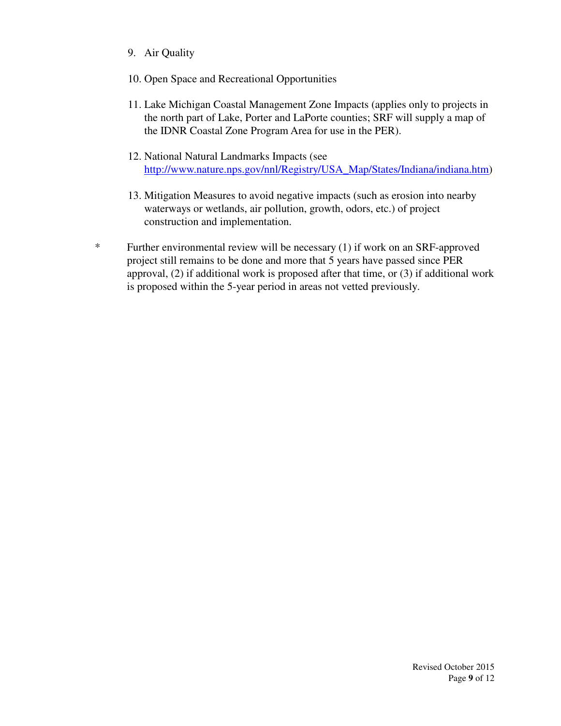- 9. Air Quality
- 10. Open Space and Recreational Opportunities
- 11. Lake Michigan Coastal Management Zone Impacts (applies only to projects in the north part of Lake, Porter and LaPorte counties; SRF will supply a map of the IDNR Coastal Zone Program Area for use in the PER).
- 12. National Natural Landmarks Impacts (see http://www.nature.nps.gov/nnl/Registry/USA\_Map/States/Indiana/indiana.htm)
- 13. Mitigation Measures to avoid negative impacts (such as erosion into nearby waterways or wetlands, air pollution, growth, odors, etc.) of project construction and implementation.
- \* Further environmental review will be necessary (1) if work on an SRF-approved project still remains to be done and more that 5 years have passed since PER approval, (2) if additional work is proposed after that time, or (3) if additional work is proposed within the 5-year period in areas not vetted previously.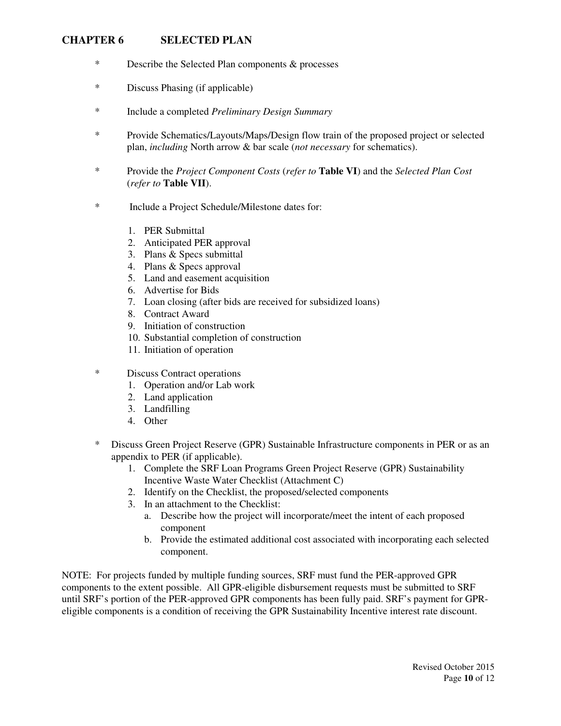#### **CHAPTER 6 SELECTED PLAN**

- \* Describe the Selected Plan components & processes
- \* Discuss Phasing (if applicable)
- \* Include a completed *Preliminary Design Summary*
- \* Provide Schematics/Layouts/Maps/Design flow train of the proposed project or selected plan, *including* North arrow & bar scale (*not necessary* for schematics).
- \* Provide the *Project Component Costs* (*refer to* **Table VI**) and the *Selected Plan Cost* (*refer to* **Table VII**).
- \* Include a Project Schedule/Milestone dates for:
	- 1. PER Submittal
	- 2. Anticipated PER approval
	- 3. Plans & Specs submittal
	- 4. Plans & Specs approval
	- 5. Land and easement acquisition
	- 6. Advertise for Bids
	- 7. Loan closing (after bids are received for subsidized loans)
	- 8. Contract Award
	- 9. Initiation of construction
	- 10. Substantial completion of construction
	- 11. Initiation of operation
- \* Discuss Contract operations
	- 1. Operation and/or Lab work
	- 2. Land application
	- 3. Landfilling
	- 4. Other
- \* Discuss Green Project Reserve (GPR) Sustainable Infrastructure components in PER or as an appendix to PER (if applicable).
	- 1. Complete the SRF Loan Programs Green Project Reserve (GPR) Sustainability Incentive Waste Water Checklist (Attachment C)
	- 2. Identify on the Checklist, the proposed/selected components
	- 3. In an attachment to the Checklist:
		- a. Describe how the project will incorporate/meet the intent of each proposed component
		- b. Provide the estimated additional cost associated with incorporating each selected component.

NOTE: For projects funded by multiple funding sources, SRF must fund the PER-approved GPR components to the extent possible. All GPR-eligible disbursement requests must be submitted to SRF until SRF's portion of the PER-approved GPR components has been fully paid. SRF's payment for GPReligible components is a condition of receiving the GPR Sustainability Incentive interest rate discount.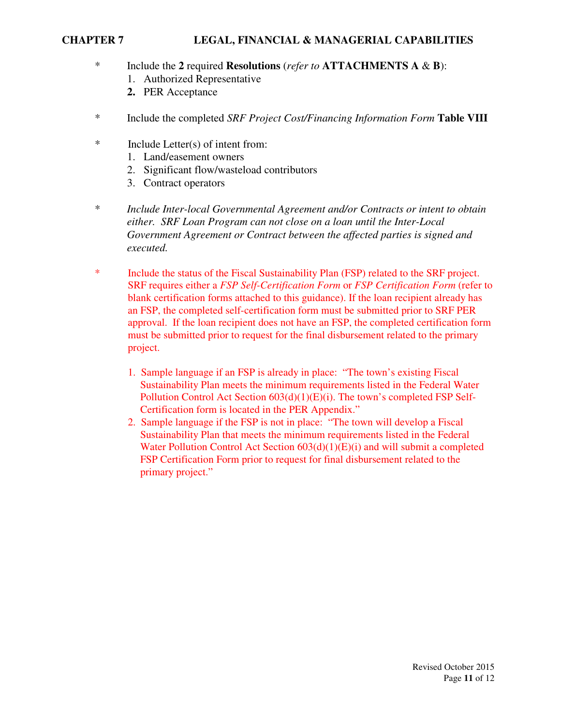#### **CHAPTER 7 LEGAL, FINANCIAL & MANAGERIAL CAPABILITIES**

- \* Include the **2** required **Resolutions** (*refer to* **ATTACHMENTS A** & **B**):
	- 1. Authorized Representative
	- **2.** PER Acceptance
- \* Include the completed *SRF Project Cost/Financing Information Form* **Table VIII**
- \* Include Letter(s) of intent from:
	- 1. Land/easement owners
	- 2. Significant flow/wasteload contributors
	- 3. Contract operators
- \* *Include Inter-local Governmental Agreement and/or Contracts or intent to obtain either. SRF Loan Program can not close on a loan until the Inter-Local Government Agreement or Contract between the affected parties is signed and executed.*
- \* Include the status of the Fiscal Sustainability Plan (FSP) related to the SRF project. SRF requires either a *FSP Self-Certification Form* or *FSP Certification Form* (refer to blank certification forms attached to this guidance). If the loan recipient already has an FSP, the completed self-certification form must be submitted prior to SRF PER approval. If the loan recipient does not have an FSP, the completed certification form must be submitted prior to request for the final disbursement related to the primary project.
	- 1. Sample language if an FSP is already in place: "The town's existing Fiscal Sustainability Plan meets the minimum requirements listed in the Federal Water Pollution Control Act Section 603(d)(1)(E)(i). The town's completed FSP Self-Certification form is located in the PER Appendix."
	- 2. Sample language if the FSP is not in place: "The town will develop a Fiscal Sustainability Plan that meets the minimum requirements listed in the Federal Water Pollution Control Act Section  $603(d)(1)(E)(i)$  and will submit a completed FSP Certification Form prior to request for final disbursement related to the primary project."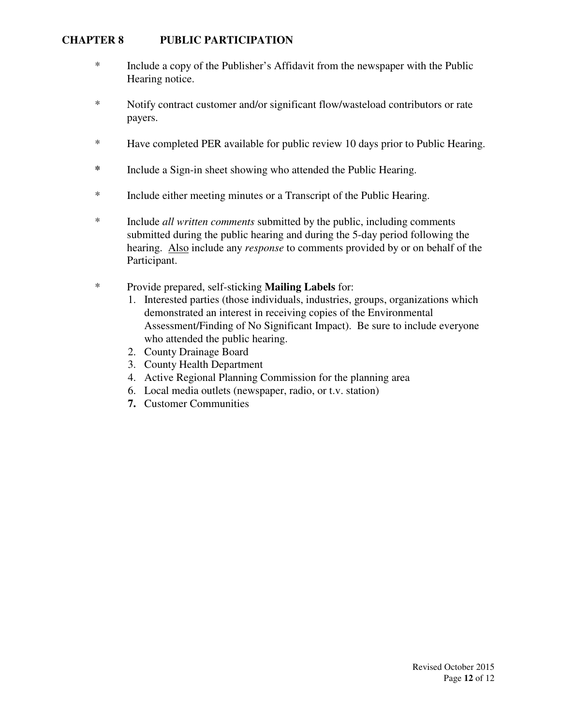#### **CHAPTER 8 PUBLIC PARTICIPATION**

- \* Include a copy of the Publisher's Affidavit from the newspaper with the Public Hearing notice.
- \* Notify contract customer and/or significant flow/wasteload contributors or rate payers.
- \* Have completed PER available for public review 10 days prior to Public Hearing.
- **\*** Include a Sign-in sheet showing who attended the Public Hearing.
- \* Include either meeting minutes or a Transcript of the Public Hearing.
- \* Include *all written comments* submitted by the public, including comments submitted during the public hearing and during the 5-day period following the hearing. Also include any *response* to comments provided by or on behalf of the Participant.
- \* Provide prepared, self-sticking **Mailing Labels** for:
	- 1. Interested parties (those individuals, industries, groups, organizations which demonstrated an interest in receiving copies of the Environmental Assessment/Finding of No Significant Impact). Be sure to include everyone who attended the public hearing.
	- 2. County Drainage Board
	- 3. County Health Department
	- 4. Active Regional Planning Commission for the planning area
	- 6. Local media outlets (newspaper, radio, or t.v. station)
	- **7.** Customer Communities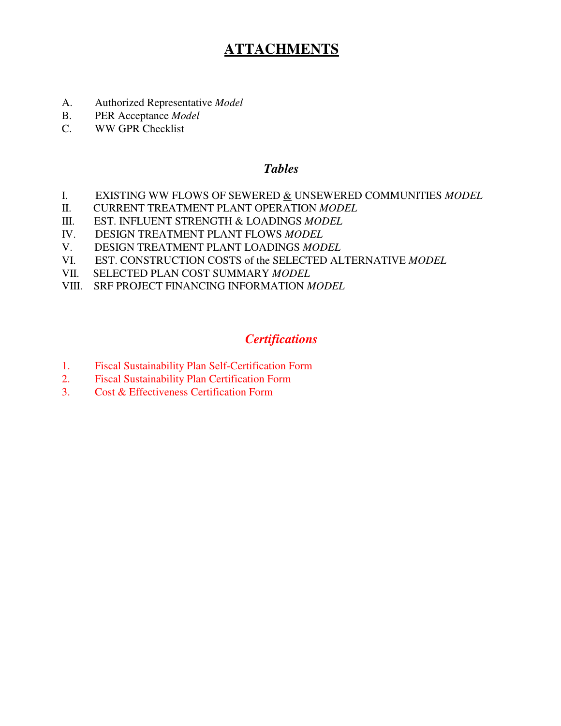# **ATTACHMENTS**

- A. Authorized Representative *Model*
- B. PER Acceptance *Model*
- C. WW GPR Checklist

#### *Tables*

- I. EXISTING WW FLOWS OF SEWERED <u>&</u> UNSEWERED COMMUNITIES *MODEL*<br>II. CURRENT TREATMENT PLANT OPERATION *MODEL*
- II. CURRENT TREATMENT PLANT OPERATION *MODEL*
- III. EST. INFLUENT STRENGTH & LOADINGS *MODEL*
- IV. DESIGN TREATMENT PLANT FLOWS *MODEL*
- V. DESIGN TREATMENT PLANT LOADINGS *MODEL*
- VI. EST. CONSTRUCTION COSTS of the SELECTED ALTERNATIVE *MODEL*
- VII. SELECTED PLAN COST SUMMARY *MODEL*
- VIII. SRF PROJECT FINANCING INFORMATION *MODEL*

# *Certifications*

- 1. Fiscal Sustainability Plan Self-Certification Form
- 2. Fiscal Sustainability Plan Certification Form
- 3. Cost & Effectiveness Certification Form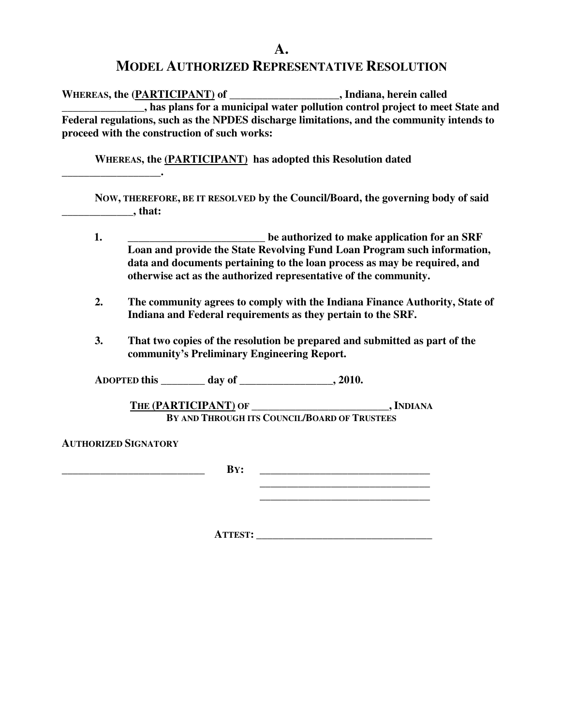#### **A.**

#### **MODEL AUTHORIZED REPRESENTATIVE RESOLUTION**

**WHEREAS, the (PARTICIPANT) of \_\_\_\_\_\_\_\_\_\_\_\_\_\_\_\_\_\_\_\_, Indiana, herein called Also plans for a municipal water pollution control project to meet State and Federal regulations, such as the NPDES discharge limitations, and the community intends to proceed with the construction of such works:** 

 **WHEREAS, the (PARTICIPANT) has adopted this Resolution dated** 

 **NOW, THEREFORE, BE IT RESOLVED by the Council/Board, the governing body of said \_\_\_\_\_\_\_\_\_\_\_\_\_, that:** 

- **1. \_\_\_\_\_\_\_\_\_\_\_\_\_\_\_\_\_\_\_\_\_\_\_\_\_ be authorized to make application for an SRF Loan and provide the State Revolving Fund Loan Program such information, data and documents pertaining to the loan process as may be required, and otherwise act as the authorized representative of the community.**
- **2. The community agrees to comply with the Indiana Finance Authority, State of Indiana and Federal requirements as they pertain to the SRF.**
- **3. That two copies of the resolution be prepared and submitted as part of the community's Preliminary Engineering Report.**

 **ADOPTED this \_\_\_\_\_\_\_\_ day of \_\_\_\_\_\_\_\_\_\_\_\_\_\_\_\_\_, 2010.** 

**THE (PARTICIPANT) OF \_\_\_\_\_\_\_\_\_\_\_\_\_\_\_\_\_\_\_\_\_\_\_\_\_, INDIANA BY AND THROUGH ITS COUNCIL/BOARD OF TRUSTEES**

**AUTHORIZED SIGNATORY**

**\_\_\_\_\_\_\_\_\_\_\_\_\_\_\_\_\_\_.** 

**B**Y: **\_\_\_\_\_\_\_\_\_\_\_\_\_\_\_\_\_\_\_\_\_\_\_\_\_\_\_\_\_\_\_** 

**\_\_\_\_\_\_\_\_\_\_\_\_\_\_\_\_\_\_\_\_\_\_\_\_\_\_\_\_\_\_\_** 

**ATTEST: \_\_\_\_\_\_\_\_\_\_\_\_\_\_\_\_\_\_\_\_\_\_\_\_\_\_\_\_\_\_\_\_**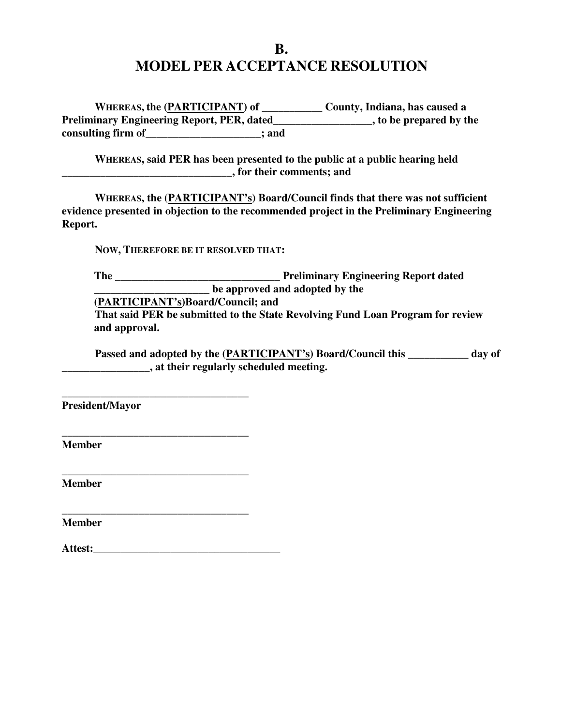# **B. MODEL PER ACCEPTANCE RESOLUTION**

 **WHEREAS, the (PARTICIPANT) of \_\_\_\_\_\_\_\_\_\_\_ County, Indiana, has caused a Preliminary Engineering Report, PER, dated\_\_\_\_\_\_\_\_\_\_\_\_\_\_\_\_\_\_, to be prepared by the consulting firm of\_\_\_\_\_\_\_\_\_\_\_\_\_\_\_\_\_\_\_\_\_; and** 

 **WHEREAS, said PER has been presented to the public at a public hearing held \_\_\_\_\_\_\_\_\_\_\_\_\_\_\_\_\_\_\_\_\_\_\_\_\_\_\_\_\_\_\_, for their comments; and** 

 **WHEREAS, the (PARTICIPANT's) Board/Council finds that there was not sufficient evidence presented in objection to the recommended project in the Preliminary Engineering Report.** 

 **NOW, THEREFORE BE IT RESOLVED THAT:** 

**The \_\_\_\_\_\_\_\_\_\_\_\_\_\_\_\_\_\_\_\_\_\_\_\_\_\_\_\_\_\_ Preliminary Engineering Report dated EXECUTE: Let us approved and adopted by the** 

**(PARTICIPANT's)Board/Council; and** 

 **That said PER be submitted to the State Revolving Fund Loan Program for review and approval.** 

Passed and adopted by the (PARTICIPANT's) Board/Council this \_\_\_\_\_\_\_\_ day of **\_\_\_\_\_\_\_\_\_\_\_\_\_\_\_\_, at their regularly scheduled meeting.** 

**President/Mayor** 

**Member** 

**Member** 

**Member** 

| Attest: |  |
|---------|--|
|         |  |

**\_\_\_\_\_\_\_\_\_\_\_\_\_\_\_\_\_\_\_\_\_\_\_\_\_\_\_\_\_\_\_\_\_\_** 

**\_\_\_\_\_\_\_\_\_\_\_\_\_\_\_\_\_\_\_\_\_\_\_\_\_\_\_\_\_\_\_\_\_\_** 

**\_\_\_\_\_\_\_\_\_\_\_\_\_\_\_\_\_\_\_\_\_\_\_\_\_\_\_\_\_\_\_\_\_\_** 

**\_\_\_\_\_\_\_\_\_\_\_\_\_\_\_\_\_\_\_\_\_\_\_\_\_\_\_\_\_\_\_\_\_\_**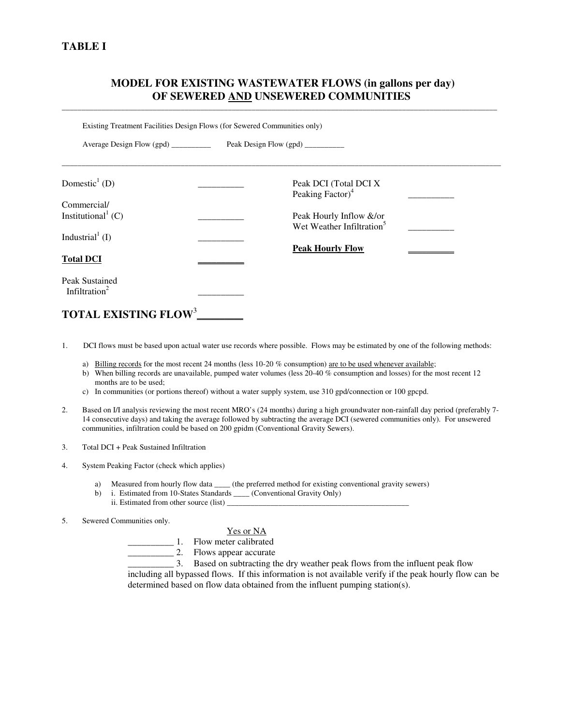#### **TABLE I**

#### **MODEL FOR EXISTING WASTEWATER FLOWS (in gallons per day) OF SEWERED AND UNSEWERED COMMUNITIES**

\_\_\_\_\_\_\_\_\_\_\_\_\_\_\_\_\_\_\_\_\_\_\_\_\_\_\_\_\_\_\_\_\_\_\_\_\_\_\_\_\_\_\_\_\_\_\_\_\_\_\_\_\_\_\_\_\_\_\_\_\_\_\_\_\_\_\_\_\_\_\_\_\_\_\_\_\_\_\_\_\_\_\_\_\_\_\_\_\_\_\_\_\_\_\_\_\_\_\_\_\_\_\_\_\_\_\_\_\_\_

Existing Treatment Facilities Design Flows (for Sewered Communities only)

| Average Design Flow (gpd) __________        | Peak Design Flow (gpd)                                           |  |
|---------------------------------------------|------------------------------------------------------------------|--|
| Domestic <sup>1</sup> (D)                   | Peak DCI (Total DCI X<br>Peaking Factor) <sup>4</sup>            |  |
| Commercial/                                 |                                                                  |  |
| Institutional <sup>1</sup> (C)              | Peak Hourly Inflow &/or<br>Wet Weather Infiltration <sup>5</sup> |  |
| Industrial <sup>1</sup> (I)                 | <b>Peak Hourly Flow</b>                                          |  |
| <b>Total DCI</b>                            |                                                                  |  |
| Peak Sustained<br>Infiltration <sup>2</sup> |                                                                  |  |

## **TOTAL EXISTING FLOW**<sup>3</sup> **\_\_\_\_\_\_\_\_\_\_**

1. DCI flows must be based upon actual water use records where possible. Flows may be estimated by one of the following methods:

- a) Billing records for the most recent 24 months (less 10-20 % consumption) are to be used whenever available;
- b) When billing records are unavailable, pumped water volumes (less 20-40 % consumption and losses) for the most recent 12 months are to be used;
- c) In communities (or portions thereof) without a water supply system, use 310 gpd/connection or 100 gpcpd.
- 2. Based on I/I analysis reviewing the most recent MRO's (24 months) during a high groundwater non-rainfall day period (preferably 7- 14 consecutive days) and taking the average followed by subtracting the average DCI (sewered communities only). For unsewered communities, infiltration could be based on 200 gpidm (Conventional Gravity Sewers).
- 3. Total DCI + Peak Sustained Infiltration
- 4. System Peaking Factor (check which applies)
	- a) Measured from hourly flow data \_\_\_\_\_ (the preferred method for existing conventional gravity sewers)
	- b) i. Estimated from 10-States Standards \_\_\_\_ (Conventional Gravity Only)
	- ii. Estimated from other source (list)  $\qquad$
- 5. Sewered Communities only.

#### Yes or NA

\_\_\_\_\_\_\_\_\_\_ 1. Flow meter calibrated

\_\_\_\_\_\_\_\_\_\_ 2. Flows appear accurate

\_\_\_\_\_\_\_\_\_\_ 3. Based on subtracting the dry weather peak flows from the influent peak flow including all bypassed flows. If this information is not available verify if the peak hourly flow can be determined based on flow data obtained from the influent pumping station(s).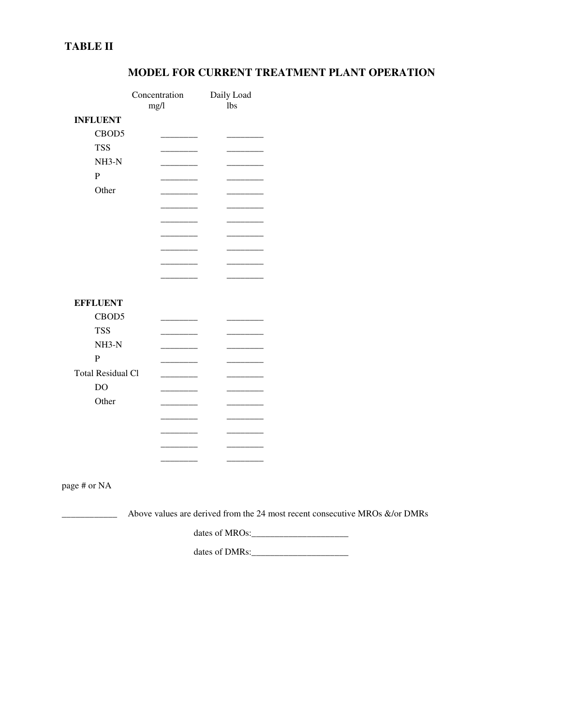## **TABLE II**

|                          | Concentration<br>mg/l                                                                                                | Daily Load<br><b>lbs</b>                                                    |  |
|--------------------------|----------------------------------------------------------------------------------------------------------------------|-----------------------------------------------------------------------------|--|
| <b>INFLUENT</b>          |                                                                                                                      |                                                                             |  |
| CBOD5                    |                                                                                                                      |                                                                             |  |
| <b>TSS</b>               |                                                                                                                      |                                                                             |  |
| $NH3-N$                  | <u> 2002 - 2003 - 2004 - 2004 - 2004 - 2004 - 2004 - 2004 - 2004 - 2004 - 2004 - 2004 - 2004 - 2004 - 2004 - 200</u> |                                                                             |  |
| ${\bf P}$                |                                                                                                                      |                                                                             |  |
| Other                    |                                                                                                                      |                                                                             |  |
|                          |                                                                                                                      |                                                                             |  |
|                          | _______                                                                                                              | ______                                                                      |  |
|                          | _____                                                                                                                |                                                                             |  |
|                          |                                                                                                                      |                                                                             |  |
|                          | ______                                                                                                               |                                                                             |  |
|                          |                                                                                                                      |                                                                             |  |
|                          |                                                                                                                      |                                                                             |  |
| <b>EFFLUENT</b>          |                                                                                                                      |                                                                             |  |
| CBOD5                    |                                                                                                                      |                                                                             |  |
| <b>TSS</b>               |                                                                                                                      |                                                                             |  |
| $NH3-N$                  |                                                                                                                      |                                                                             |  |
| $\overline{P}$           |                                                                                                                      |                                                                             |  |
| <b>Total Residual Cl</b> |                                                                                                                      |                                                                             |  |
| DO                       |                                                                                                                      |                                                                             |  |
| Other                    | $\overline{\phantom{a}}$                                                                                             |                                                                             |  |
|                          |                                                                                                                      |                                                                             |  |
|                          |                                                                                                                      |                                                                             |  |
|                          |                                                                                                                      |                                                                             |  |
|                          | ____                                                                                                                 |                                                                             |  |
|                          |                                                                                                                      |                                                                             |  |
| page # or NA             |                                                                                                                      |                                                                             |  |
|                          |                                                                                                                      | Above values are derived from the 24 most recent consecutive MROs &/or DMRs |  |
|                          |                                                                                                                      |                                                                             |  |
|                          |                                                                                                                      | dates of DMRs:                                                              |  |

## **MODEL FOR CURRENT TREATMENT PLANT OPERATION**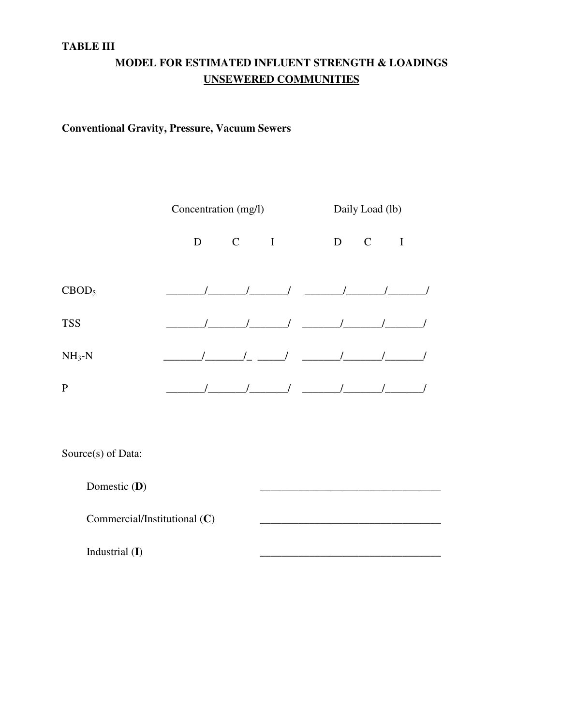#### **TABLE III**

# **MODEL FOR ESTIMATED INFLUENT STRENGTH & LOADINGS UNSEWERED COMMUNITIES**

## **Conventional Gravity, Pressure, Vacuum Sewers**

|                   | Concentration (mg/l) |             |             |   | Daily Load (lb) |              |
|-------------------|----------------------|-------------|-------------|---|-----------------|--------------|
|                   | D                    | $\mathbf C$ | $\mathbf I$ | D | $\mathbf C$     | $\mathbf{I}$ |
| CBOD <sub>5</sub> |                      |             |             |   |                 |              |
| <b>TSS</b>        |                      |             |             |   |                 |              |
| $NH3-N$           |                      |             |             |   |                 |              |
| P                 |                      |             |             |   |                 |              |

Source(s) of Data:

Domestic (**D**) Commercial/Institutional (C)

Industrial (I)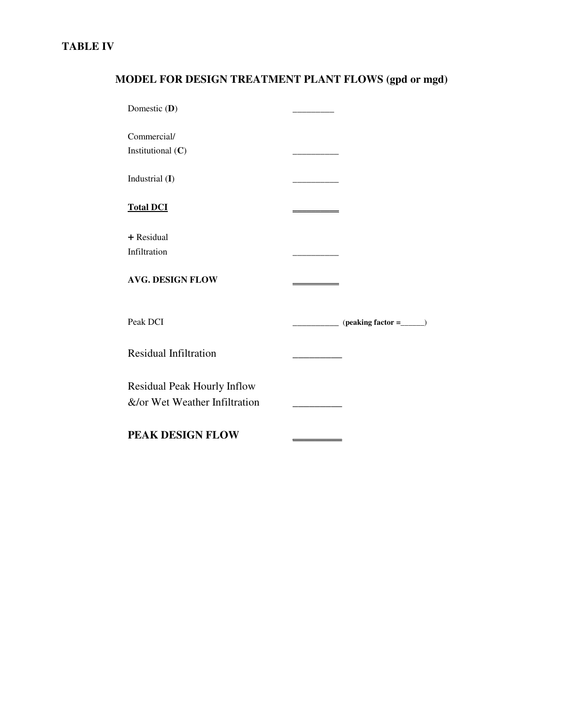## **TABLE IV**

# **MODEL FOR DESIGN TREATMENT PLANT FLOWS (gpd or mgd)**

| Domestic (D)                                                 |  |
|--------------------------------------------------------------|--|
| Commercial/<br>Institutional $(C)$                           |  |
| Industrial (I)                                               |  |
| <b>Total DCI</b>                                             |  |
| + Residual<br>Infiltration                                   |  |
| <b>AVG. DESIGN FLOW</b>                                      |  |
| Peak DCI                                                     |  |
| <b>Residual Infiltration</b>                                 |  |
| Residual Peak Hourly Inflow<br>&/or Wet Weather Infiltration |  |
| PEAK DESIGN FLOW                                             |  |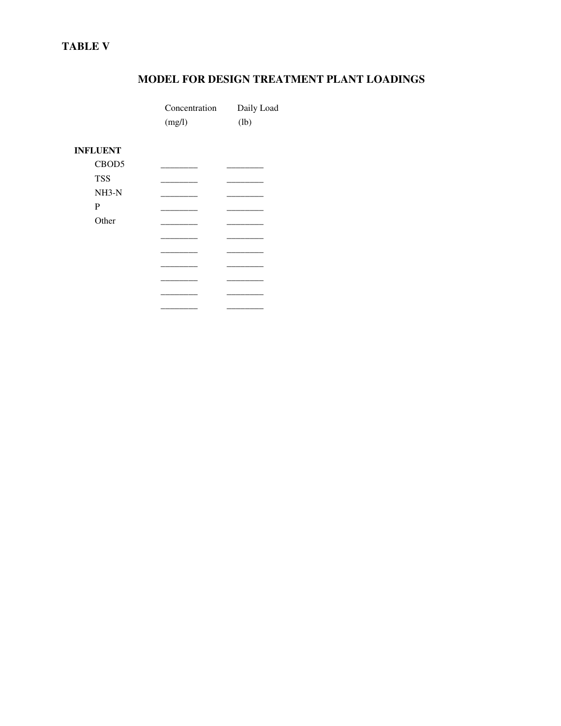## **TABLE V**

## **MODEL FOR DESIGN TREATMENT PLANT LOADINGS**

|                 | Concentration<br>(mg/l) | Daily Load<br>(lb) |
|-----------------|-------------------------|--------------------|
| <b>INFLUENT</b> |                         |                    |
| CBOD5           |                         |                    |
| <b>TSS</b>      |                         |                    |
| $NH3-N$         |                         |                    |
| $\mathbf P$     |                         |                    |
| Other           |                         |                    |
|                 |                         |                    |
|                 |                         |                    |
|                 |                         |                    |
|                 |                         |                    |
|                 |                         |                    |
|                 |                         |                    |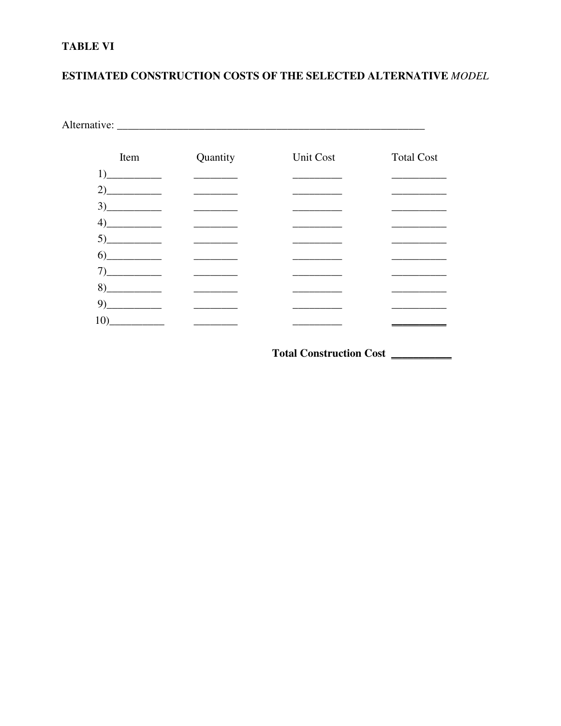## **TABLE VI**

## ESTIMATED CONSTRUCTION COSTS OF THE SELECTED ALTERNATIVE MODEL

| Item                          | Quantity                                                                                                                                                                                                                             | Unit Cost | <b>Total Cost</b> |
|-------------------------------|--------------------------------------------------------------------------------------------------------------------------------------------------------------------------------------------------------------------------------------|-----------|-------------------|
|                               |                                                                                                                                                                                                                                      |           |                   |
| 2)                            | <u>and the state of the state of the state</u>                                                                                                                                                                                       |           |                   |
|                               | <u> The Common State State State State State State State State State State State State State State State State State State State State State State State State State State State State State State State State State State State</u> |           |                   |
|                               |                                                                                                                                                                                                                                      |           |                   |
|                               |                                                                                                                                                                                                                                      |           |                   |
| $6)$ <sub>_____________</sub> | the company of the company                                                                                                                                                                                                           |           |                   |
|                               | <u> 1989 - Andrea State</u>                                                                                                                                                                                                          |           |                   |
|                               |                                                                                                                                                                                                                                      |           |                   |
| 9)                            | <u> 1989 - Andrea Stein</u>                                                                                                                                                                                                          |           |                   |
|                               |                                                                                                                                                                                                                                      |           |                   |

Total Construction Cost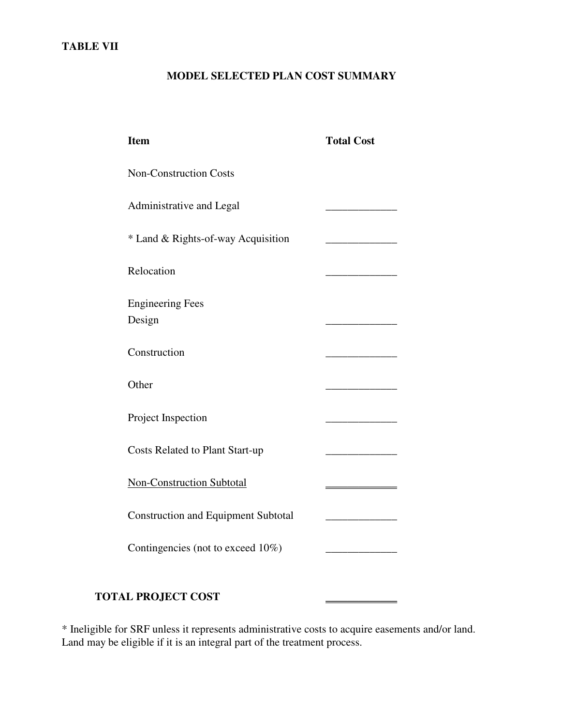## **TABLE VII**

#### **MODEL SELECTED PLAN COST SUMMARY**

| <b>Item</b>                                | <b>Total Cost</b> |
|--------------------------------------------|-------------------|
| <b>Non-Construction Costs</b>              |                   |
| Administrative and Legal                   |                   |
| * Land & Rights-of-way Acquisition         |                   |
| Relocation                                 |                   |
| <b>Engineering Fees</b><br>Design          |                   |
| Construction                               |                   |
| Other                                      |                   |
| Project Inspection                         |                   |
| <b>Costs Related to Plant Start-up</b>     |                   |
| <b>Non-Construction Subtotal</b>           |                   |
| <b>Construction and Equipment Subtotal</b> |                   |
| Contingencies (not to exceed 10%)          |                   |
|                                            |                   |

## **TOTAL PROJECT COST** \_\_\_\_\_\_\_\_\_\_\_\_\_

\* Ineligible for SRF unless it represents administrative costs to acquire easements and/or land. Land may be eligible if it is an integral part of the treatment process.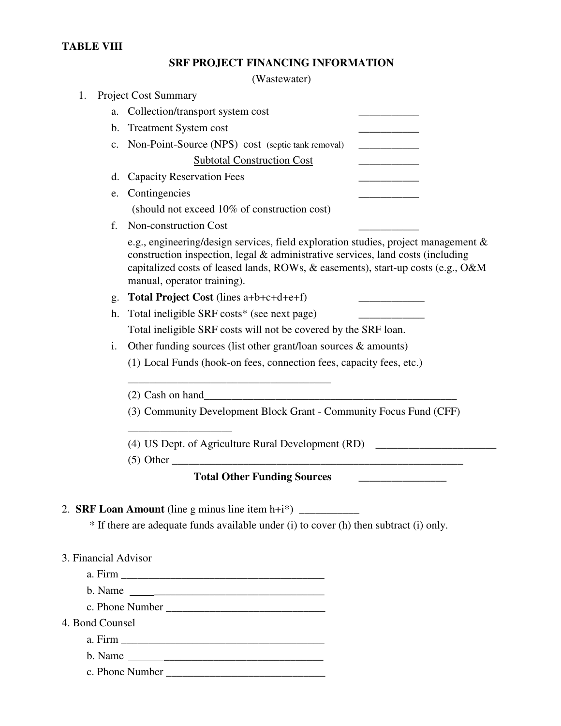#### **TABLE VIII**

|  |  | <b>SRF PROJECT FINANCING INFORMATION</b> |
|--|--|------------------------------------------|
|--|--|------------------------------------------|

(Wastewater)

| 1.                   | <b>Project Cost Summary</b>                                                                                                                                                                                                                                                              |
|----------------------|------------------------------------------------------------------------------------------------------------------------------------------------------------------------------------------------------------------------------------------------------------------------------------------|
|                      | a. Collection/transport system cost                                                                                                                                                                                                                                                      |
|                      | b. Treatment System cost                                                                                                                                                                                                                                                                 |
|                      | c. Non-Point-Source (NPS) cost (septic tank removal)                                                                                                                                                                                                                                     |
|                      | <b>Subtotal Construction Cost</b>                                                                                                                                                                                                                                                        |
|                      | d. Capacity Reservation Fees                                                                                                                                                                                                                                                             |
| e.                   | Contingencies                                                                                                                                                                                                                                                                            |
|                      | (should not exceed 10% of construction cost)                                                                                                                                                                                                                                             |
| $f_{\perp}$          | Non-construction Cost                                                                                                                                                                                                                                                                    |
|                      | e.g., engineering/design services, field exploration studies, project management &<br>construction inspection, legal & administrative services, land costs (including<br>capitalized costs of leased lands, ROWs, & easements), start-up costs (e.g., O&M<br>manual, operator training). |
| g.                   | Total Project Cost (lines a+b+c+d+e+f)                                                                                                                                                                                                                                                   |
| h.                   | Total ineligible SRF costs* (see next page)                                                                                                                                                                                                                                              |
|                      | Total ineligible SRF costs will not be covered by the SRF loan.                                                                                                                                                                                                                          |
| i.                   | Other funding sources (list other grant/loan sources $\&$ amounts)                                                                                                                                                                                                                       |
|                      | (1) Local Funds (hook-on fees, connection fees, capacity fees, etc.)                                                                                                                                                                                                                     |
|                      |                                                                                                                                                                                                                                                                                          |
|                      | (3) Community Development Block Grant - Community Focus Fund (CFF)                                                                                                                                                                                                                       |
|                      | (4) US Dept. of Agriculture Rural Development (RD) _____________________________                                                                                                                                                                                                         |
|                      | $(5) Other _______$                                                                                                                                                                                                                                                                      |
|                      |                                                                                                                                                                                                                                                                                          |
|                      |                                                                                                                                                                                                                                                                                          |
|                      | * If there are adequate funds available under (i) to cover (h) then subtract (i) only.                                                                                                                                                                                                   |
|                      |                                                                                                                                                                                                                                                                                          |
| 3. Financial Advisor |                                                                                                                                                                                                                                                                                          |

 $3. F$ 

a. Firm \_\_\_\_\_\_\_\_\_\_\_\_\_\_\_\_\_\_\_\_\_\_\_\_\_\_\_\_\_\_\_\_\_\_\_\_\_

b. Name \_\_\_\_\_\_\_\_\_\_\_\_\_\_\_\_\_\_\_\_\_\_\_\_\_\_\_\_\_\_\_

c. Phone Number \_\_\_\_\_\_\_\_\_\_\_\_\_\_\_\_\_\_\_\_\_\_\_\_\_\_\_\_\_

4. Bond Counsel

a. Firm \_\_\_\_\_\_\_\_\_\_\_\_\_\_\_\_\_\_\_\_\_\_\_\_\_\_\_\_\_\_\_\_\_\_\_\_\_

b. Name \_\_\_\_\_\_\_\_\_\_\_\_\_\_\_\_\_\_\_\_\_\_\_\_\_\_\_\_\_

c. Phone Number \_\_\_\_\_\_\_\_\_\_\_\_\_\_\_\_\_\_\_\_\_\_\_\_\_\_\_\_\_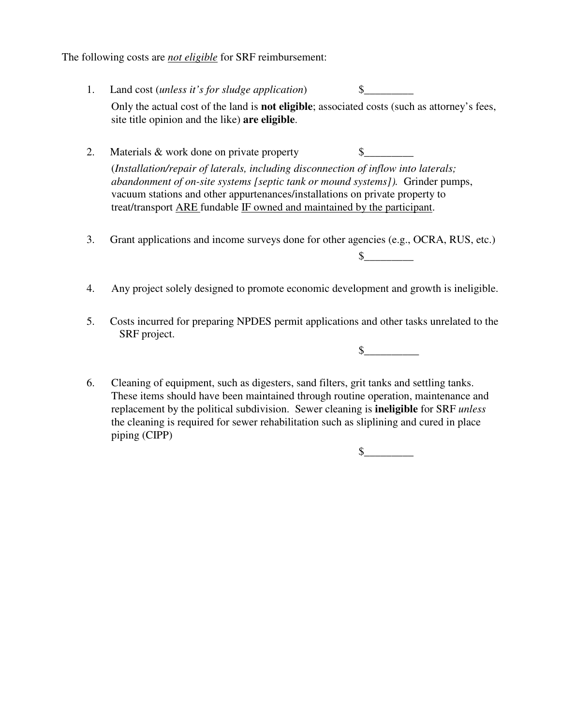The following costs are *not eligible* for SRF reimbursement:

- 1. Land cost (*unless it's for sludge application*) \$\_\_\_\_\_\_\_\_\_ Only the actual cost of the land is **not eligible**; associated costs (such as attorney's fees, site title opinion and the like) **are eligible**.
- 2. Materials  $&$  work done on private property  $\qquad \qquad \$$ (*Installation/repair of laterals, including disconnection of inflow into laterals; abandonment of on-site systems [septic tank or mound systems]).* Grinder pumps, vacuum stations and other appurtenances/installations on private property to treat/transport ARE fundable IF owned and maintained by the participant.
- 3. Grant applications and income surveys done for other agencies (e.g., OCRA, RUS, etc.)
- 4. Any project solely designed to promote economic development and growth is ineligible.
- 5. Costs incurred for preparing NPDES permit applications and other tasks unrelated to the SRF project.

 $\frac{\sqrt{2}}{2}$ 

 $\frac{\S_{\perp}}{\S_{\perp}}$ 

6. Cleaning of equipment, such as digesters, sand filters, grit tanks and settling tanks. These items should have been maintained through routine operation, maintenance and replacement by the political subdivision. Sewer cleaning is **ineligible** for SRF *unless* the cleaning is required for sewer rehabilitation such as sliplining and cured in place piping (CIPP)

 $\sim$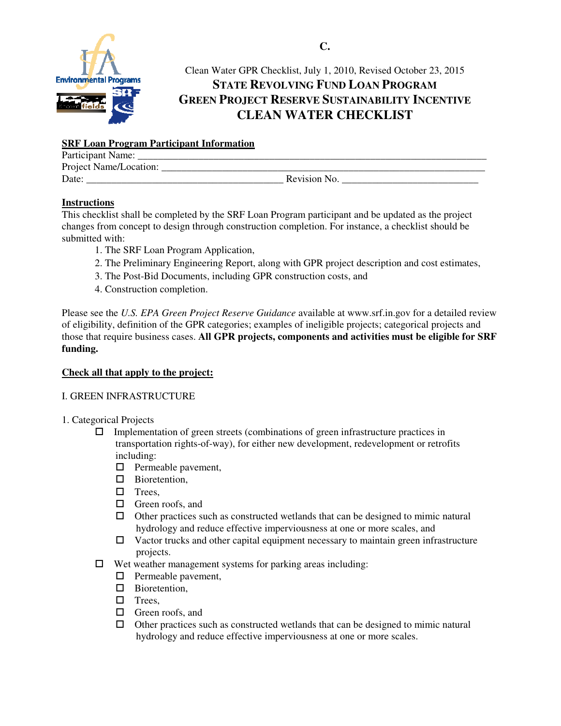

## Clean Water GPR Checklist, July 1, 2010, Revised October 23, 2015 **STATE REVOLVING FUND LOAN PROGRAM GREEN PROJECT RESERVE SUSTAINABILITY INCENTIVE CLEAN WATER CHECKLIST**

#### **SRF Loan Program Participant Information**

| Participant Name:      |              |
|------------------------|--------------|
| Project Name/Location: |              |
| Date:                  | Revision No. |

#### **Instructions**

This checklist shall be completed by the SRF Loan Program participant and be updated as the project changes from concept to design through construction completion. For instance, a checklist should be submitted with:

- 1. The SRF Loan Program Application,
- 2. The Preliminary Engineering Report, along with GPR project description and cost estimates,
- 3. The Post-Bid Documents, including GPR construction costs, and
- 4. Construction completion.

Please see the *U.S. EPA Green Project Reserve Guidance* available at www.srf.in.gov for a detailed review of eligibility, definition of the GPR categories; examples of ineligible projects; categorical projects and those that require business cases. **All GPR projects, components and activities must be eligible for SRF funding.** 

#### **Check all that apply to the project:**

#### I. GREEN INFRASTRUCTURE

- 1. Categorical Projects
	- $\Box$  Implementation of green streets (combinations of green infrastructure practices in transportation rights-of-way), for either new development, redevelopment or retrofits including:
		- $\Box$  Permeable pavement,
		- □ Bioretention,
		- $\Box$  Trees
		- □ Green roofs, and
		- $\Box$  Other practices such as constructed wetlands that can be designed to mimic natural hydrology and reduce effective imperviousness at one or more scales, and
		- $\Box$  Vactor trucks and other capital equipment necessary to maintain green infrastructure projects.
	- $\Box$  Wet weather management systems for parking areas including:
		- $\Box$  Permeable pavement,
		- □ Bioretention,
		- $\Box$  Trees,
		- □ Green roofs, and
		- $\Box$  Other practices such as constructed wetlands that can be designed to mimic natural hydrology and reduce effective imperviousness at one or more scales.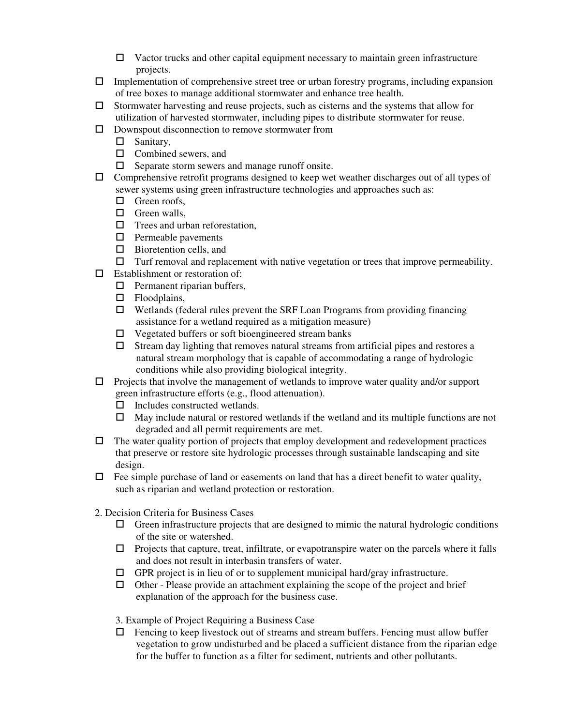- $\Box$  Vactor trucks and other capital equipment necessary to maintain green infrastructure projects.
- $\Box$  Implementation of comprehensive street tree or urban forestry programs, including expansion of tree boxes to manage additional stormwater and enhance tree health.
- $\square$  Stormwater harvesting and reuse projects, such as cisterns and the systems that allow for utilization of harvested stormwater, including pipes to distribute stormwater for reuse.
- $\square$  Downspout disconnection to remove stormwater from
	- □ Sanitary,
	- $\Box$  Combined sewers, and
	- $\Box$  Separate storm sewers and manage runoff onsite.
- $\Box$  Comprehensive retrofit programs designed to keep wet weather discharges out of all types of sewer systems using green infrastructure technologies and approaches such as:
	- $\Box$  Green roofs,
	- $\Box$  Green walls,
	- $\Box$  Trees and urban reforestation,
	- $\square$  Permeable pavements
	- $\square$  Bioretention cells, and
	- $\Box$  Turf removal and replacement with native vegetation or trees that improve permeability.
- $\square$  Establishment or restoration of:
	- $\Box$  Permanent riparian buffers,
	- □ Floodplains,
	- $\Box$  Wetlands (federal rules prevent the SRF Loan Programs from providing financing assistance for a wetland required as a mitigation measure)
	- $\Box$  Vegetated buffers or soft bioengineered stream banks
	- $\Box$  Stream day lighting that removes natural streams from artificial pipes and restores a natural stream morphology that is capable of accommodating a range of hydrologic conditions while also providing biological integrity.
- $\Box$  Projects that involve the management of wetlands to improve water quality and/or support green infrastructure efforts (e.g., flood attenuation).
	- $\Box$  Includes constructed wetlands.
	- $\Box$  May include natural or restored wetlands if the wetland and its multiple functions are not degraded and all permit requirements are met.
- $\Box$  The water quality portion of projects that employ development and redevelopment practices that preserve or restore site hydrologic processes through sustainable landscaping and site design.
- $\Box$  Fee simple purchase of land or easements on land that has a direct benefit to water quality, such as riparian and wetland protection or restoration.
- 2. Decision Criteria for Business Cases
	- $\Box$  Green infrastructure projects that are designed to mimic the natural hydrologic conditions of the site or watershed.
	- $\Box$  Projects that capture, treat, infiltrate, or evapotranspire water on the parcels where it falls and does not result in interbasin transfers of water.
	- $\Box$  GPR project is in lieu of or to supplement municipal hard/gray infrastructure.
	- $\Box$  Other Please provide an attachment explaining the scope of the project and brief explanation of the approach for the business case.
	- 3. Example of Project Requiring a Business Case
	- $\Box$  Fencing to keep livestock out of streams and stream buffers. Fencing must allow buffer vegetation to grow undisturbed and be placed a sufficient distance from the riparian edge for the buffer to function as a filter for sediment, nutrients and other pollutants.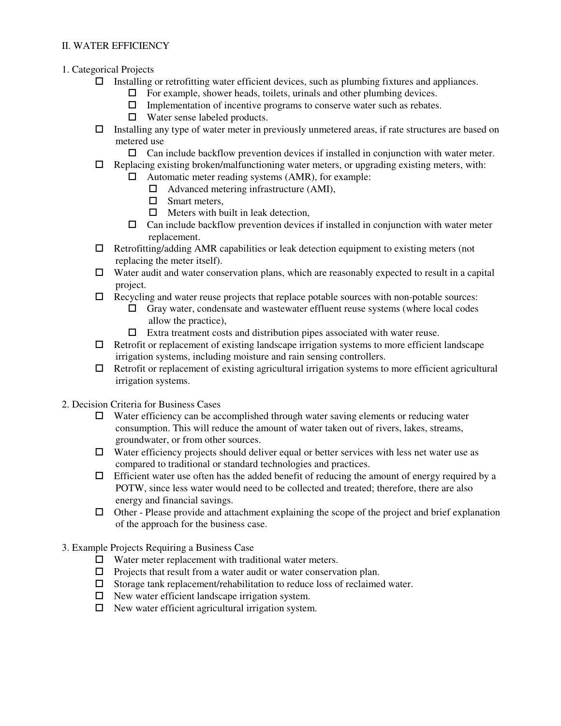#### II. WATER EFFICIENCY

- 1. Categorical Projects
	- $\Box$  Installing or retrofitting water efficient devices, such as plumbing fixtures and appliances.
		- $\Box$  For example, shower heads, toilets, urinals and other plumbing devices.
		- $\Box$  Implementation of incentive programs to conserve water such as rebates.
		- $\Box$  Water sense labeled products.
	- $\Box$  Installing any type of water meter in previously unmetered areas, if rate structures are based on metered use
		- $\Box$  Can include backflow prevention devices if installed in conjunction with water meter.
	- $\Box$  Replacing existing broken/malfunctioning water meters, or upgrading existing meters, with:
		- $\Box$  Automatic meter reading systems (AMR), for example:
			- $\Box$  Advanced metering infrastructure (AMI),
			- □ Smart meters.
			- $\Box$  Meters with built in leak detection,
			- $\Box$  Can include backflow prevention devices if installed in conjunction with water meter replacement.
	- $\Box$  Retrofitting/adding AMR capabilities or leak detection equipment to existing meters (not replacing the meter itself).
	- $\Box$  Water audit and water conservation plans, which are reasonably expected to result in a capital project.
	- $\Box$  Recycling and water reuse projects that replace potable sources with non-potable sources:
		- $\Box$  Gray water, condensate and wastewater effluent reuse systems (where local codes allow the practice),
		- $\Box$  Extra treatment costs and distribution pipes associated with water reuse.
	- $\Box$  Retrofit or replacement of existing landscape irrigation systems to more efficient landscape irrigation systems, including moisture and rain sensing controllers.
	- $\Box$  Retrofit or replacement of existing agricultural irrigation systems to more efficient agricultural irrigation systems.
- 2. Decision Criteria for Business Cases
	- $\Box$  Water efficiency can be accomplished through water saving elements or reducing water consumption. This will reduce the amount of water taken out of rivers, lakes, streams, groundwater, or from other sources.
	- $\Box$  Water efficiency projects should deliver equal or better services with less net water use as compared to traditional or standard technologies and practices.
	- $\Box$  Efficient water use often has the added benefit of reducing the amount of energy required by a POTW, since less water would need to be collected and treated; therefore, there are also energy and financial savings.
	- $\Box$  Other Please provide and attachment explaining the scope of the project and brief explanation of the approach for the business case.
- 3. Example Projects Requiring a Business Case
	- $\Box$  Water meter replacement with traditional water meters.
	- $\Box$  Projects that result from a water audit or water conservation plan.
	- $\square$  Storage tank replacement/rehabilitation to reduce loss of reclaimed water.
	- $\Box$  New water efficient landscape irrigation system.
	- $\Box$  New water efficient agricultural irrigation system.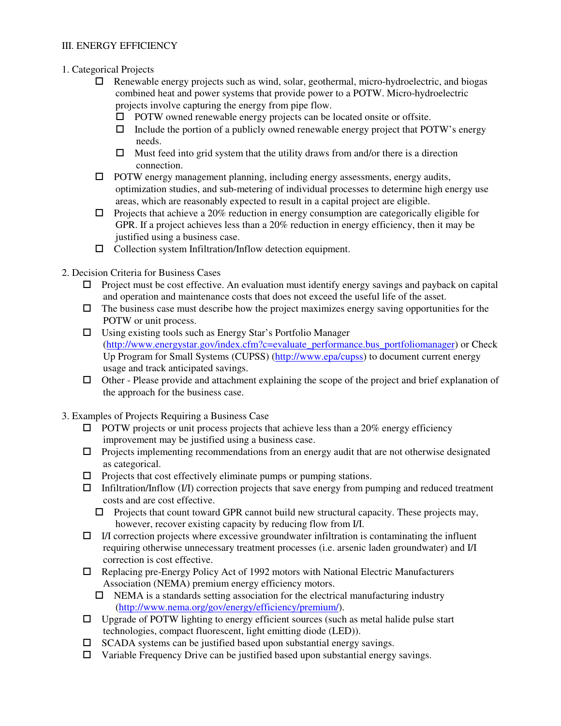#### III. ENERGY EFFICIENCY

- 1. Categorical Projects
	- $\Box$  Renewable energy projects such as wind, solar, geothermal, micro-hydroelectric, and biogas combined heat and power systems that provide power to a POTW. Micro-hydroelectric projects involve capturing the energy from pipe flow.
		- $\Box$  POTW owned renewable energy projects can be located onsite or offsite.
		- $\Box$  Include the portion of a publicly owned renewable energy project that POTW's energy needs.
		- $\Box$  Must feed into grid system that the utility draws from and/or there is a direction connection.
	- $\Box$  POTW energy management planning, including energy assessments, energy audits, optimization studies, and sub-metering of individual processes to determine high energy use areas, which are reasonably expected to result in a capital project are eligible.
	- $\Box$  Projects that achieve a 20% reduction in energy consumption are categorically eligible for GPR. If a project achieves less than a 20% reduction in energy efficiency, then it may be justified using a business case.
	- $\Box$  Collection system Infiltration/Inflow detection equipment.
- 2. Decision Criteria for Business Cases
	- $\Box$  Project must be cost effective. An evaluation must identify energy savings and payback on capital and operation and maintenance costs that does not exceed the useful life of the asset.
	- $\Box$  The business case must describe how the project maximizes energy saving opportunities for the POTW or unit process.
	- $\square$  Using existing tools such as Energy Star's Portfolio Manager (http://www.energystar.gov/index.cfm?c=evaluate\_performance.bus\_portfoliomanager) or Check Up Program for Small Systems (CUPSS) (http://www.epa/cupss) to document current energy usage and track anticipated savings.
	- Other Please provide and attachment explaining the scope of the project and brief explanation of the approach for the business case.
- 3. Examples of Projects Requiring a Business Case
	- $\Box$  POTW projects or unit process projects that achieve less than a 20% energy efficiency improvement may be justified using a business case.
	- $\Box$  Projects implementing recommendations from an energy audit that are not otherwise designated as categorical.
	- $\Box$  Projects that cost effectively eliminate pumps or pumping stations.
	- $\Box$  Infiltration/Inflow (I/I) correction projects that save energy from pumping and reduced treatment costs and are cost effective.
		- $\Box$  Projects that count toward GPR cannot build new structural capacity. These projects may, however, recover existing capacity by reducing flow from I/I.
	- $\Box$  I/I correction projects where excessive groundwater infiltration is contaminating the influent requiring otherwise unnecessary treatment processes (i.e. arsenic laden groundwater) and I/I correction is cost effective.
	- $\Box$  Replacing pre-Energy Policy Act of 1992 motors with National Electric Manufacturers Association (NEMA) premium energy efficiency motors.
		- $\Box$  NEMA is a standards setting association for the electrical manufacturing industry (http://www.nema.org/gov/energy/efficiency/premium/).
	- $\Box$  Upgrade of POTW lighting to energy efficient sources (such as metal halide pulse start technologies, compact fluorescent, light emitting diode (LED)).
	- $\square$  SCADA systems can be justified based upon substantial energy savings.
	- $\Box$  Variable Frequency Drive can be justified based upon substantial energy savings.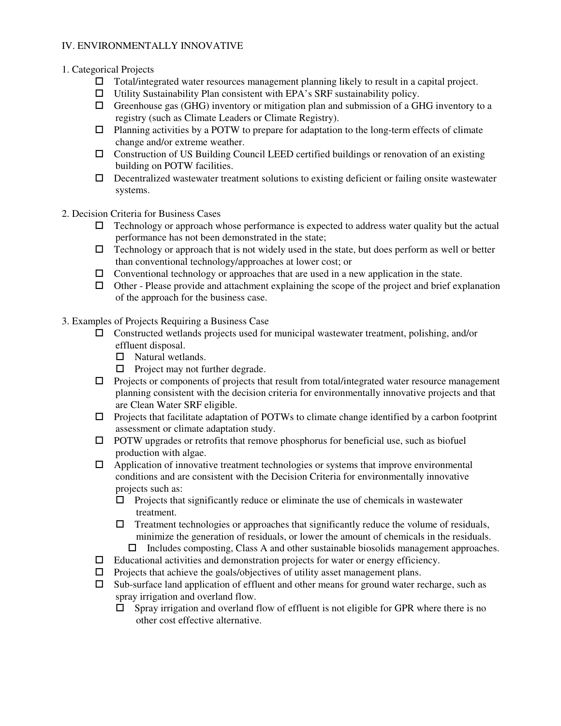#### IV. ENVIRONMENTALLY INNOVATIVE

#### 1. Categorical Projects

- $\Box$  Total/integrated water resources management planning likely to result in a capital project.
- $\Box$  Utility Sustainability Plan consistent with EPA's SRF sustainability policy.
- $\Box$  Greenhouse gas (GHG) inventory or mitigation plan and submission of a GHG inventory to a registry (such as Climate Leaders or Climate Registry).
- $\Box$  Planning activities by a POTW to prepare for adaptation to the long-term effects of climate change and/or extreme weather.
- $\Box$  Construction of US Building Council LEED certified buildings or renovation of an existing building on POTW facilities.
- $\Box$  Decentralized wastewater treatment solutions to existing deficient or failing onsite wastewater systems.
- 2. Decision Criteria for Business Cases
	- $\Box$  Technology or approach whose performance is expected to address water quality but the actual performance has not been demonstrated in the state;
	- $\Box$  Technology or approach that is not widely used in the state, but does perform as well or better than conventional technology/approaches at lower cost; or
	- $\Box$  Conventional technology or approaches that are used in a new application in the state.
	- $\Box$  Other Please provide and attachment explaining the scope of the project and brief explanation of the approach for the business case.
- 3. Examples of Projects Requiring a Business Case
	- Constructed wetlands projects used for municipal wastewater treatment, polishing, and/or effluent disposal.
		- $\Box$  Natural wetlands.
		- $\Box$  Project may not further degrade.
	- $\Box$  Projects or components of projects that result from total/integrated water resource management planning consistent with the decision criteria for environmentally innovative projects and that are Clean Water SRF eligible.
	- Projects that facilitate adaptation of POTWs to climate change identified by a carbon footprint assessment or climate adaptation study.
	- $\Box$  POTW upgrades or retrofits that remove phosphorus for beneficial use, such as biofuel production with algae.
	- $\Box$  Application of innovative treatment technologies or systems that improve environmental conditions and are consistent with the Decision Criteria for environmentally innovative projects such as:
		- $\Box$  Projects that significantly reduce or eliminate the use of chemicals in wastewater treatment.
		- $\Box$  Treatment technologies or approaches that significantly reduce the volume of residuals, minimize the generation of residuals, or lower the amount of chemicals in the residuals.
			- $\Box$  Includes composting, Class A and other sustainable biosolids management approaches.
	- $\Box$  Educational activities and demonstration projects for water or energy efficiency.
	- $\Box$  Projects that achieve the goals/objectives of utility asset management plans.
	- $\square$  Sub-surface land application of effluent and other means for ground water recharge, such as spray irrigation and overland flow.
		- $\Box$  Spray irrigation and overland flow of effluent is not eligible for GPR where there is no other cost effective alternative.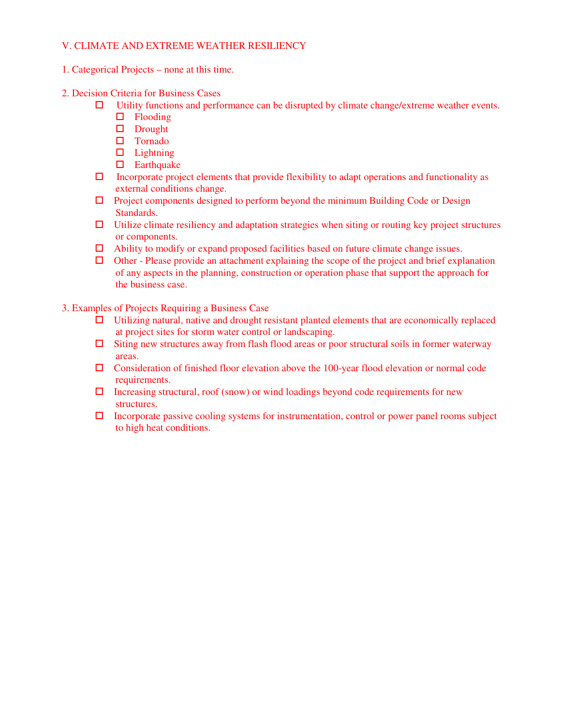#### V. CLIMATE AND EXTREME WEATHER RESILIENCY

- 1. Categorical Projects none at this time.
- 2. Decision Criteria for Business Cases
	- $\Box$  Utility functions and performance can be disrupted by climate change/extreme weather events.
		- $\Box$  Flooding
		- Drought
		- Tornado
		- $\Box$  Lightning
		- $\Box$  Earthquake
	- $\Box$  Incorporate project elements that provide flexibility to adapt operations and functionality as external conditions change.
	- $\Box$  Project components designed to perform beyond the minimum Building Code or Design Standards.
	- $\Box$  Utilize climate resiliency and adaptation strategies when siting or routing key project structures or components.
	- $\Box$  Ability to modify or expand proposed facilities based on future climate change issues.
	- $\Box$  Other Please provide an attachment explaining the scope of the project and brief explanation of any aspects in the planning, construction or operation phase that support the approach for the business case.

3. Examples of Projects Requiring a Business Case

- Utilizing natural, native and drought resistant planted elements that are economically replaced at project sites for storm water control or landscaping.
- $\Box$  Siting new structures away from flash flood areas or poor structural soils in former waterway areas.
- Consideration of finished floor elevation above the 100-year flood elevation or normal code requirements.
- $\Box$  Increasing structural, roof (snow) or wind loadings beyond code requirements for new structures.
- $\Box$  Incorporate passive cooling systems for instrumentation, control or power panel rooms subject to high heat conditions.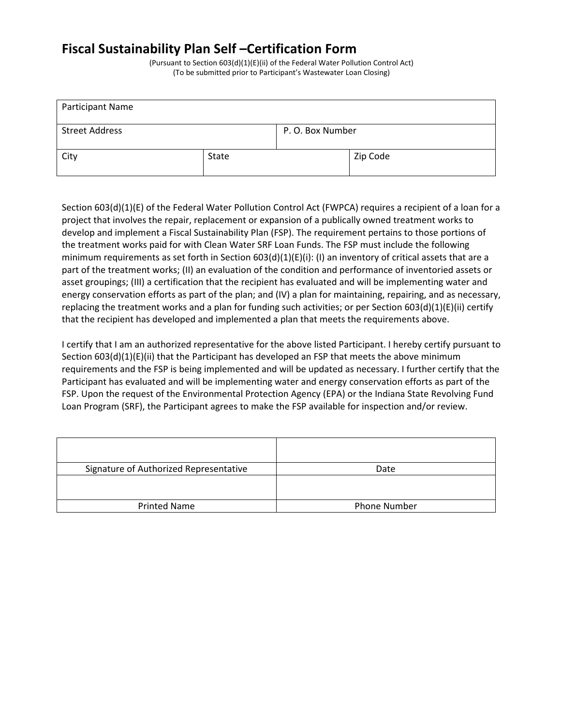# Fiscal Sustainability Plan Self –Certification Form

(Pursuant to Section 603(d)(1)(E)(ii) of the Federal Water Pollution Control Act) (To be submitted prior to Participant's Wastewater Loan Closing)

| Participant Name                          |       |  |          |  |
|-------------------------------------------|-------|--|----------|--|
| <b>Street Address</b><br>P. O. Box Number |       |  |          |  |
| City                                      | State |  | Zip Code |  |

Section 603(d)(1)(E) of the Federal Water Pollution Control Act (FWPCA) requires a recipient of a loan for a project that involves the repair, replacement or expansion of a publically owned treatment works to develop and implement a Fiscal Sustainability Plan (FSP). The requirement pertains to those portions of the treatment works paid for with Clean Water SRF Loan Funds. The FSP must include the following minimum requirements as set forth in Section 603(d)(1)(E)(i): (I) an inventory of critical assets that are a part of the treatment works; (II) an evaluation of the condition and performance of inventoried assets or asset groupings; (III) a certification that the recipient has evaluated and will be implementing water and energy conservation efforts as part of the plan; and (IV) a plan for maintaining, repairing, and as necessary, replacing the treatment works and a plan for funding such activities; or per Section 603(d)(1)(E)(ii) certify that the recipient has developed and implemented a plan that meets the requirements above.

I certify that I am an authorized representative for the above listed Participant. I hereby certify pursuant to Section 603(d)(1)(E)(ii) that the Participant has developed an FSP that meets the above minimum requirements and the FSP is being implemented and will be updated as necessary. I further certify that the Participant has evaluated and will be implementing water and energy conservation efforts as part of the FSP. Upon the request of the Environmental Protection Agency (EPA) or the Indiana State Revolving Fund Loan Program (SRF), the Participant agrees to make the FSP available for inspection and/or review.

| Signature of Authorized Representative | Date                |
|----------------------------------------|---------------------|
|                                        |                     |
| <b>Printed Name</b>                    | <b>Phone Number</b> |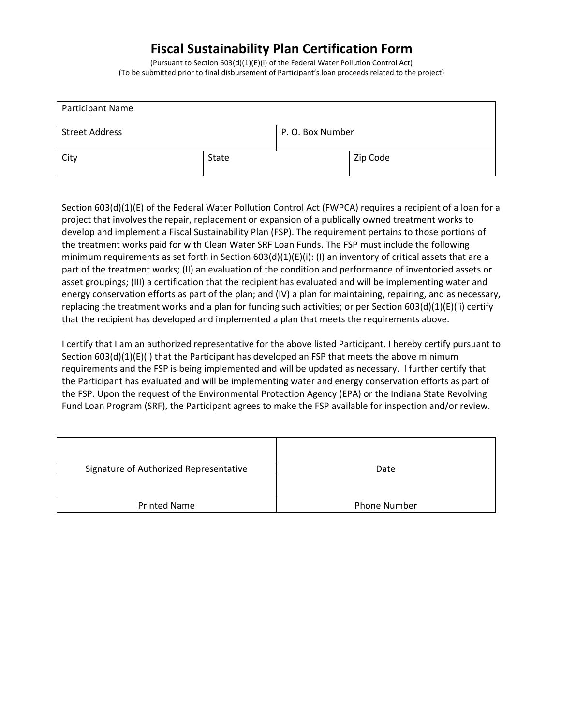# Fiscal Sustainability Plan Certification Form

(Pursuant to Section 603(d)(1)(E)(i) of the Federal Water Pollution Control Act) (To be submitted prior to final disbursement of Participant's loan proceeds related to the project)

| Participant Name      |       |                  |          |
|-----------------------|-------|------------------|----------|
| <b>Street Address</b> |       | P. O. Box Number |          |
| City                  | State |                  | Zip Code |

Section 603(d)(1)(E) of the Federal Water Pollution Control Act (FWPCA) requires a recipient of a loan for a project that involves the repair, replacement or expansion of a publically owned treatment works to develop and implement a Fiscal Sustainability Plan (FSP). The requirement pertains to those portions of the treatment works paid for with Clean Water SRF Loan Funds. The FSP must include the following minimum requirements as set forth in Section 603(d)(1)(E)(i): (I) an inventory of critical assets that are a part of the treatment works; (II) an evaluation of the condition and performance of inventoried assets or asset groupings; (III) a certification that the recipient has evaluated and will be implementing water and energy conservation efforts as part of the plan; and (IV) a plan for maintaining, repairing, and as necessary, replacing the treatment works and a plan for funding such activities; or per Section 603(d)(1)(E)(ii) certify that the recipient has developed and implemented a plan that meets the requirements above.

I certify that I am an authorized representative for the above listed Participant. I hereby certify pursuant to Section 603(d)(1)(E)(i) that the Participant has developed an FSP that meets the above minimum requirements and the FSP is being implemented and will be updated as necessary. I further certify that the Participant has evaluated and will be implementing water and energy conservation efforts as part of the FSP. Upon the request of the Environmental Protection Agency (EPA) or the Indiana State Revolving Fund Loan Program (SRF), the Participant agrees to make the FSP available for inspection and/or review.

| Signature of Authorized Representative | Date                |
|----------------------------------------|---------------------|
|                                        |                     |
| <b>Printed Name</b>                    | <b>Phone Number</b> |